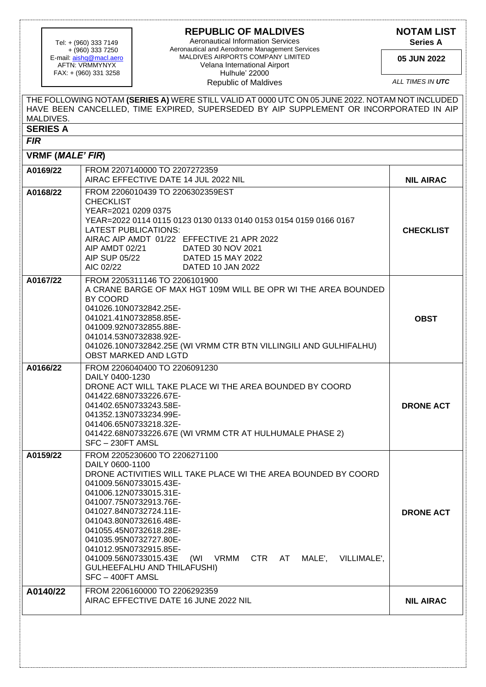## **REPUBLIC OF MALDIVES**

 + (960) 333 7250 E-mail: <u>aishq@macl.aero</u> AFTN: VRMMYNYX FAX: + (960) 331 3258

Aeronautical Information Services Tel: + (960) 333 7149 **Series A** Aeronautical and Aerodrome Management Services MALDIVES AIRPORTS COMPANY LIMITED Velana International Airport Hulhule' 22000 Republic of Maldives

**NOTAM LIST**

**05 JUN 2022**

*ALL TIMES IN UTC*

|                               | THE FOLLOWING NOTAM (SERIES A) WERE STILL VALID AT 0000 UTC ON 05 JUNE 2022. NOTAM NOT INCLUDED<br>HAVE BEEN CANCELLED. TIME EXPIRED, SUPERSEDED BY AIP SUPPLEMENT OR INCORPORATED IN AIP                                                                                                                                                                                                                                                                         |                  |
|-------------------------------|-------------------------------------------------------------------------------------------------------------------------------------------------------------------------------------------------------------------------------------------------------------------------------------------------------------------------------------------------------------------------------------------------------------------------------------------------------------------|------------------|
| MALDIVES.                     |                                                                                                                                                                                                                                                                                                                                                                                                                                                                   |                  |
| <b>SERIES A</b><br><b>FIR</b> |                                                                                                                                                                                                                                                                                                                                                                                                                                                                   |                  |
|                               |                                                                                                                                                                                                                                                                                                                                                                                                                                                                   |                  |
| VRMF (MALE' FIR)              |                                                                                                                                                                                                                                                                                                                                                                                                                                                                   |                  |
| A0169/22                      | FROM 2207140000 TO 2207272359<br>AIRAC EFFECTIVE DATE 14 JUL 2022 NIL                                                                                                                                                                                                                                                                                                                                                                                             | <b>NIL AIRAC</b> |
| A0168/22                      | FROM 2206010439 TO 2206302359EST<br><b>CHECKLIST</b><br>YEAR=2021 0209 0375<br>YEAR=2022 0114 0115 0123 0130 0133 0140 0153 0154 0159 0166 0167<br>LATEST PUBLICATIONS:<br>AIRAC AIP AMDT 01/22 EFFECTIVE 21 APR 2022<br>AIP AMDT 02/21<br>DATED 30 NOV 2021<br>AIP SUP 05/22<br>DATED 15 MAY 2022<br>AIC 02/22<br>DATED 10 JAN 2022                                                                                                                              | <b>CHECKLIST</b> |
| A0167/22                      | FROM 2205311146 TO 2206101900<br>A CRANE BARGE OF MAX HGT 109M WILL BE OPR WI THE AREA BOUNDED<br>BY COORD<br>041026.10N0732842.25E-<br>041021.41N0732858.85E-<br>041009.92N0732855.88E-<br>041014.53N0732838.92E-<br>041026.10N0732842.25E (WI VRMM CTR BTN VILLINGILI AND GULHIFALHU)<br><b>OBST MARKED AND LGTD</b>                                                                                                                                            | <b>OBST</b>      |
| A0166/22                      | FROM 2206040400 TO 2206091230<br>DAILY 0400-1230<br>DRONE ACT WILL TAKE PLACE WI THE AREA BOUNDED BY COORD<br>041422.68N0733226.67E-<br>041402.65N0733243.58E-<br>041352.13N0733234.99E-<br>041406.65N0733218.32E-<br>041422.68N0733226.67E (WI VRMM CTR AT HULHUMALE PHASE 2)<br>SFC-230FT AMSL                                                                                                                                                                  | <b>DRONE ACT</b> |
| A0159/22                      | FROM 2205230600 TO 2206271100<br>DAILY 0600-1100<br>DRONE ACTIVITIES WILL TAKE PLACE WI THE AREA BOUNDED BY COORD<br>041009.56N0733015.43E-<br>041006.12N0733015.31E-<br>041007.75N0732913.76E-<br>041027.84N0732724.11E-<br>041043.80N0732616.48E-<br>041055.45N0732618.28E-<br>041035.95N0732727.80E-<br>041012.95N0732915.85E-<br>CTR AT<br>041009.56N0733015.43E<br>VRMM<br>MALE', VILLIMALE',<br>(WI<br><b>GULHEEFALHU AND THILAFUSHI)</b><br>SFC-400FT AMSL | <b>DRONE ACT</b> |
| A0140/22                      | FROM 2206160000 TO 2206292359<br>AIRAC EFFECTIVE DATE 16 JUNE 2022 NIL                                                                                                                                                                                                                                                                                                                                                                                            | <b>NIL AIRAC</b> |
|                               |                                                                                                                                                                                                                                                                                                                                                                                                                                                                   |                  |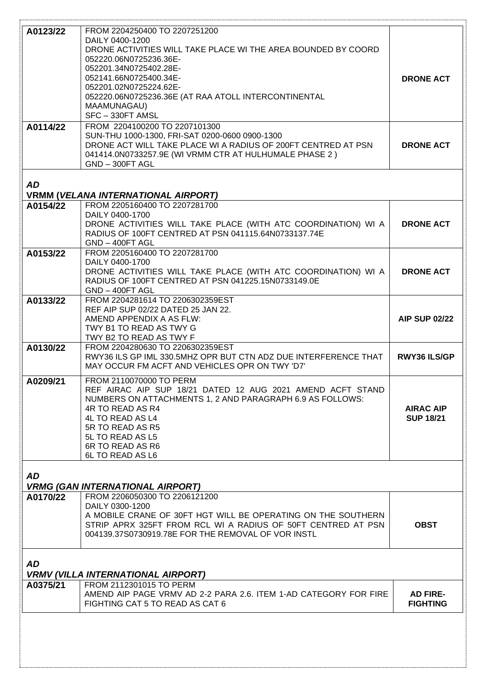| A0123/22  | FROM 2204250400 TO 2207251200                                                  |                      |
|-----------|--------------------------------------------------------------------------------|----------------------|
|           | DAILY 0400-1200                                                                |                      |
|           | DRONE ACTIVITIES WILL TAKE PLACE WI THE AREA BOUNDED BY COORD                  |                      |
|           | 052220.06N0725236.36E-                                                         |                      |
|           | 052201.34N0725402.28E-                                                         |                      |
|           | 052141.66N0725400.34E-                                                         | <b>DRONE ACT</b>     |
|           | 052201.02N0725224.62E-<br>052220.06N0725236.36E (AT RAA ATOLL INTERCONTINENTAL |                      |
|           | <b>MAAMUNAGAU)</b>                                                             |                      |
|           | SFC-330FT AMSL                                                                 |                      |
| A0114/22  | FROM 2204100200 TO 2207101300                                                  |                      |
|           | SUN-THU 1000-1300, FRI-SAT 0200-0600 0900-1300                                 |                      |
|           | DRONE ACT WILL TAKE PLACE WI A RADIUS OF 200FT CENTRED AT PSN                  | <b>DRONE ACT</b>     |
|           | 041414.0N0733257.9E (WI VRMM CTR AT HULHUMALE PHASE 2)                         |                      |
|           | GND-300FT AGL                                                                  |                      |
|           |                                                                                |                      |
| <b>AD</b> |                                                                                |                      |
|           | <b>VRMM (VELANA INTERNATIONAL AIRPORT)</b>                                     |                      |
| A0154/22  | FROM 2205160400 TO 2207281700                                                  |                      |
|           | DAILY 0400-1700                                                                |                      |
|           | DRONE ACTIVITIES WILL TAKE PLACE (WITH ATC COORDINATION) WI A                  | <b>DRONE ACT</b>     |
|           | RADIUS OF 100FT CENTRED AT PSN 041115.64N0733137.74E<br>GND-400FT AGL          |                      |
| A0153/22  | FROM 2205160400 TO 2207281700                                                  |                      |
|           | DAILY 0400-1700                                                                |                      |
|           | DRONE ACTIVITIES WILL TAKE PLACE (WITH ATC COORDINATION) WI A                  | <b>DRONE ACT</b>     |
|           | RADIUS OF 100FT CENTRED AT PSN 041225.15N0733149.0E                            |                      |
|           | GND - 400FT AGL                                                                |                      |
| A0133/22  | FROM 2204281614 TO 2206302359EST                                               |                      |
|           | REF AIP SUP 02/22 DATED 25 JAN 22.                                             |                      |
|           | AMEND APPENDIX A AS FLW:                                                       | <b>AIP SUP 02/22</b> |
|           | TWY B1 TO READ AS TWY G                                                        |                      |
| A0130/22  | TWY B2 TO READ AS TWY F<br>FROM 2204280630 TO 2206302359EST                    |                      |
|           | RWY36 ILS GP IML 330.5MHZ OPR BUT CTN ADZ DUE INTERFERENCE THAT                | <b>RWY36 ILS/GP</b>  |
|           | MAY OCCUR FM ACFT AND VEHICLES OPR ON TWY 'D7'                                 |                      |
|           | FROM 2110070000 TO PERM                                                        |                      |
| A0209/21  | REF AIRAC AIP SUP 18/21 DATED 12 AUG 2021 AMEND ACFT STAND                     |                      |
|           | NUMBERS ON ATTACHMENTS 1, 2 AND PARAGRAPH 6.9 AS FOLLOWS:                      |                      |
|           | 4R TO READ AS R4                                                               | <b>AIRAC AIP</b>     |
|           | 4L TO READ AS L4                                                               | <b>SUP 18/21</b>     |
|           | 5R TO READ AS R5                                                               |                      |
|           | 5L TO READ AS L5                                                               |                      |
|           | 6R TO READ AS R6                                                               |                      |
|           | 6L TO READ AS L6                                                               |                      |
|           |                                                                                |                      |
| <b>AD</b> |                                                                                |                      |
|           | <b>VRMG (GAN INTERNATIONAL AIRPORT)</b><br>FROM 2206050300 TO 2206121200       |                      |
| A0170/22  | DAILY 0300-1200                                                                |                      |
|           | A MOBILE CRANE OF 30FT HGT WILL BE OPERATING ON THE SOUTHERN                   |                      |
|           | STRIP APRX 325FT FROM RCL WI A RADIUS OF 50FT CENTRED AT PSN                   | <b>OBST</b>          |
|           | 004139.37S0730919.78E FOR THE REMOVAL OF VOR INSTL                             |                      |
|           |                                                                                |                      |
|           |                                                                                |                      |
| <b>AD</b> |                                                                                |                      |
|           | <b>VRMV (VILLA INTERNATIONAL AIRPORT)</b>                                      |                      |
| A0375/21  | FROM 2112301015 TO PERM                                                        |                      |
|           | AMEND AIP PAGE VRMV AD 2-2 PARA 2.6. ITEM 1-AD CATEGORY FOR FIRE               | <b>AD FIRE-</b>      |
|           | FIGHTING CAT 5 TO READ AS CAT 6                                                | <b>FIGHTING</b>      |
|           |                                                                                |                      |
|           |                                                                                |                      |
|           |                                                                                |                      |
|           |                                                                                |                      |